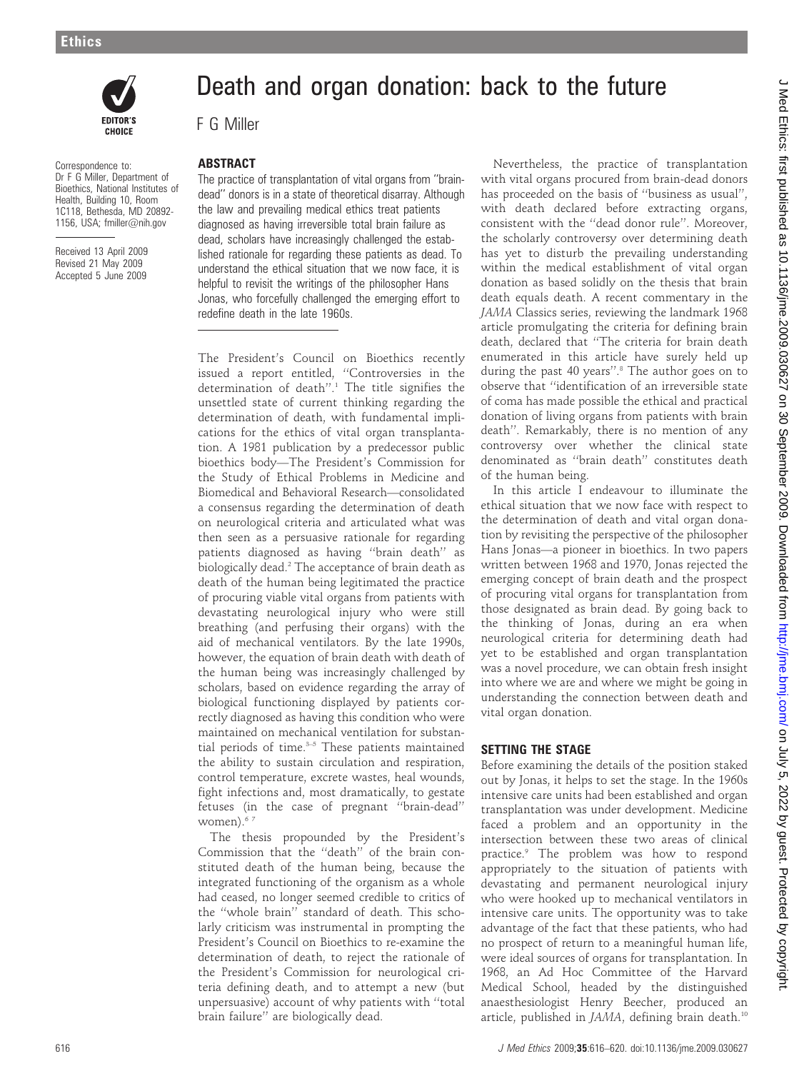

Correspondence to: Dr F G Miller, Department of Bioethics, National Institutes of Health, Building 10, Room 1C118, Bethesda, MD 20892- 1156, USA; fmiller@nih.gov

Received 13 April 2009 Revised 21 May 2009 Accepted 5 June 2009

# Death and organ donation: back to the future

F G Miller

#### **ABSTRACT**

The practice of transplantation of vital organs from ''braindead'' donors is in a state of theoretical disarray. Although the law and prevailing medical ethics treat patients diagnosed as having irreversible total brain failure as dead, scholars have increasingly challenged the established rationale for regarding these patients as dead. To understand the ethical situation that we now face, it is helpful to revisit the writings of the philosopher Hans Jonas, who forcefully challenged the emerging effort to redefine death in the late 1960s.

The President's Council on Bioethics recently issued a report entitled, ''Controversies in the determination of death".<sup>1</sup> The title signifies the unsettled state of current thinking regarding the determination of death, with fundamental implications for the ethics of vital organ transplantation. A 1981 publication by a predecessor public bioethics body—The President's Commission for the Study of Ethical Problems in Medicine and Biomedical and Behavioral Research—consolidated a consensus regarding the determination of death on neurological criteria and articulated what was then seen as a persuasive rationale for regarding patients diagnosed as having ''brain death'' as biologically dead.<sup>2</sup> The acceptance of brain death as death of the human being legitimated the practice of procuring viable vital organs from patients with devastating neurological injury who were still breathing (and perfusing their organs) with the aid of mechanical ventilators. By the late 1990s, however, the equation of brain death with death of the human being was increasingly challenged by scholars, based on evidence regarding the array of biological functioning displayed by patients correctly diagnosed as having this condition who were maintained on mechanical ventilation for substantial periods of time.<sup>3-5</sup> These patients maintained the ability to sustain circulation and respiration, control temperature, excrete wastes, heal wounds, fight infections and, most dramatically, to gestate fetuses (in the case of pregnant ''brain-dead'' women). $6$ 

The thesis propounded by the President's Commission that the ''death'' of the brain constituted death of the human being, because the integrated functioning of the organism as a whole had ceased, no longer seemed credible to critics of the ''whole brain'' standard of death. This scholarly criticism was instrumental in prompting the President's Council on Bioethics to re-examine the determination of death, to reject the rationale of the President's Commission for neurological criteria defining death, and to attempt a new (but unpersuasive) account of why patients with ''total brain failure'' are biologically dead.

Nevertheless, the practice of transplantation with vital organs procured from brain-dead donors has proceeded on the basis of ''business as usual'', with death declared before extracting organs, consistent with the ''dead donor rule''. Moreover, the scholarly controversy over determining death has yet to disturb the prevailing understanding within the medical establishment of vital organ donation as based solidly on the thesis that brain death equals death. A recent commentary in the JAMA Classics series, reviewing the landmark 1968 article promulgating the criteria for defining brain death, declared that ''The criteria for brain death enumerated in this article have surely held up during the past 40 years''.8 The author goes on to observe that ''identification of an irreversible state of coma has made possible the ethical and practical donation of living organs from patients with brain death''. Remarkably, there is no mention of any controversy over whether the clinical state denominated as ''brain death'' constitutes death of the human being.

In this article I endeavour to illuminate the ethical situation that we now face with respect to the determination of death and vital organ donation by revisiting the perspective of the philosopher Hans Jonas—a pioneer in bioethics. In two papers written between 1968 and 1970, Jonas rejected the emerging concept of brain death and the prospect of procuring vital organs for transplantation from those designated as brain dead. By going back to the thinking of Jonas, during an era when neurological criteria for determining death had yet to be established and organ transplantation was a novel procedure, we can obtain fresh insight into where we are and where we might be going in understanding the connection between death and vital organ donation.

## SETTING THE STAGE

Before examining the details of the position staked out by Jonas, it helps to set the stage. In the 1960s intensive care units had been established and organ transplantation was under development. Medicine faced a problem and an opportunity in the intersection between these two areas of clinical practice.9 The problem was how to respond appropriately to the situation of patients with devastating and permanent neurological injury who were hooked up to mechanical ventilators in intensive care units. The opportunity was to take advantage of the fact that these patients, who had no prospect of return to a meaningful human life, were ideal sources of organs for transplantation. In 1968, an Ad Hoc Committee of the Harvard Medical School, headed by the distinguished anaesthesiologist Henry Beecher, produced an article, published in JAMA, defining brain death.<sup>10</sup>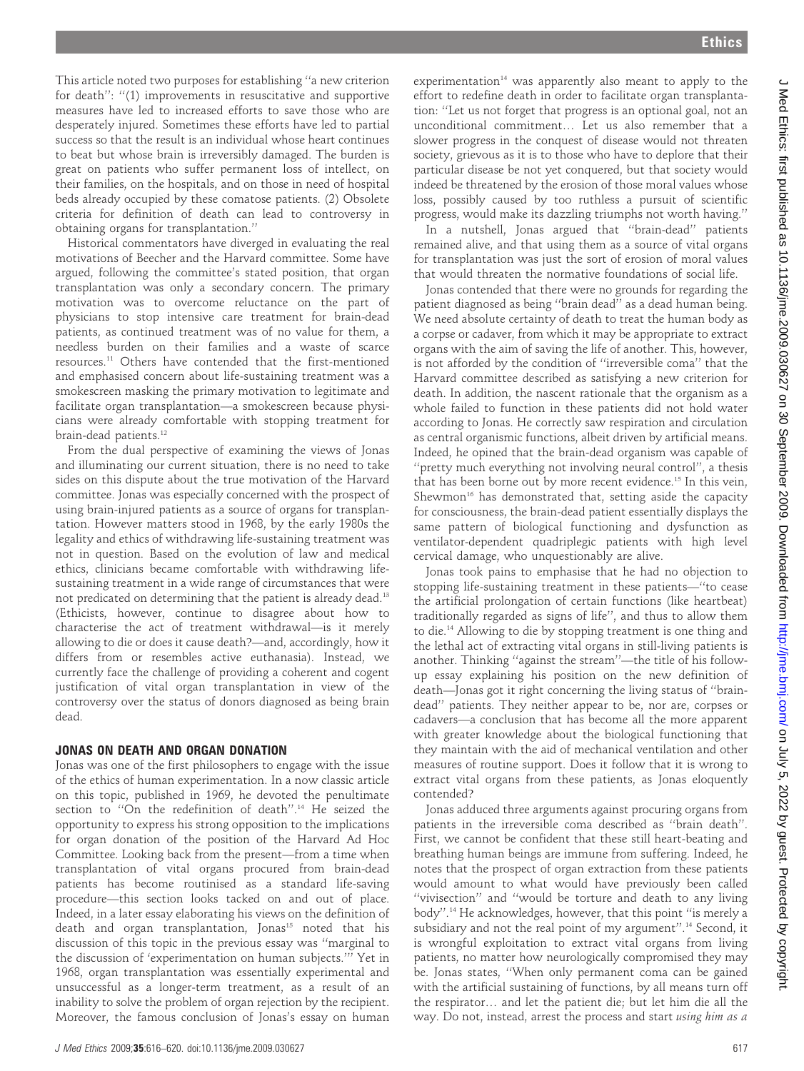This article noted two purposes for establishing ''a new criterion for death'': ''(1) improvements in resuscitative and supportive measures have led to increased efforts to save those who are desperately injured. Sometimes these efforts have led to partial success so that the result is an individual whose heart continues to beat but whose brain is irreversibly damaged. The burden is great on patients who suffer permanent loss of intellect, on their families, on the hospitals, and on those in need of hospital beds already occupied by these comatose patients. (2) Obsolete criteria for definition of death can lead to controversy in obtaining organs for transplantation.''

Historical commentators have diverged in evaluating the real motivations of Beecher and the Harvard committee. Some have argued, following the committee's stated position, that organ transplantation was only a secondary concern. The primary motivation was to overcome reluctance on the part of physicians to stop intensive care treatment for brain-dead patients, as continued treatment was of no value for them, a needless burden on their families and a waste of scarce resources.11 Others have contended that the first-mentioned and emphasised concern about life-sustaining treatment was a smokescreen masking the primary motivation to legitimate and facilitate organ transplantation—a smokescreen because physicians were already comfortable with stopping treatment for brain-dead patients.<sup>12</sup>

From the dual perspective of examining the views of Jonas and illuminating our current situation, there is no need to take sides on this dispute about the true motivation of the Harvard committee. Jonas was especially concerned with the prospect of using brain-injured patients as a source of organs for transplantation. However matters stood in 1968, by the early 1980s the legality and ethics of withdrawing life-sustaining treatment was not in question. Based on the evolution of law and medical ethics, clinicians became comfortable with withdrawing lifesustaining treatment in a wide range of circumstances that were not predicated on determining that the patient is already dead.13 (Ethicists, however, continue to disagree about how to characterise the act of treatment withdrawal—is it merely allowing to die or does it cause death?—and, accordingly, how it differs from or resembles active euthanasia). Instead, we currently face the challenge of providing a coherent and cogent justification of vital organ transplantation in view of the controversy over the status of donors diagnosed as being brain dead.

#### JONAS ON DEATH AND ORGAN DONATION

Jonas was one of the first philosophers to engage with the issue of the ethics of human experimentation. In a now classic article on this topic, published in 1969, he devoted the penultimate section to ''On the redefinition of death''.14 He seized the opportunity to express his strong opposition to the implications for organ donation of the position of the Harvard Ad Hoc Committee. Looking back from the present—from a time when transplantation of vital organs procured from brain-dead patients has become routinised as a standard life-saving procedure—this section looks tacked on and out of place. Indeed, in a later essay elaborating his views on the definition of death and organ transplantation, Jonas<sup>15</sup> noted that his discussion of this topic in the previous essay was ''marginal to the discussion of 'experimentation on human subjects.''' Yet in 1968, organ transplantation was essentially experimental and unsuccessful as a longer-term treatment, as a result of an inability to solve the problem of organ rejection by the recipient. Moreover, the famous conclusion of Jonas's essay on human

experimentation $14$  was apparently also meant to apply to the effort to redefine death in order to facilitate organ transplantation: ''Let us not forget that progress is an optional goal, not an unconditional commitment… Let us also remember that a slower progress in the conquest of disease would not threaten society, grievous as it is to those who have to deplore that their particular disease be not yet conquered, but that society would indeed be threatened by the erosion of those moral values whose loss, possibly caused by too ruthless a pursuit of scientific progress, would make its dazzling triumphs not worth having.''

In a nutshell, Jonas argued that ''brain-dead'' patients remained alive, and that using them as a source of vital organs for transplantation was just the sort of erosion of moral values that would threaten the normative foundations of social life.

Jonas contended that there were no grounds for regarding the patient diagnosed as being ''brain dead'' as a dead human being. We need absolute certainty of death to treat the human body as a corpse or cadaver, from which it may be appropriate to extract organs with the aim of saving the life of another. This, however, is not afforded by the condition of ''irreversible coma'' that the Harvard committee described as satisfying a new criterion for death. In addition, the nascent rationale that the organism as a whole failed to function in these patients did not hold water according to Jonas. He correctly saw respiration and circulation as central organismic functions, albeit driven by artificial means. Indeed, he opined that the brain-dead organism was capable of ''pretty much everything not involving neural control'', a thesis that has been borne out by more recent evidence.<sup>15</sup> In this vein, Shewmon<sup>16</sup> has demonstrated that, setting aside the capacity for consciousness, the brain-dead patient essentially displays the same pattern of biological functioning and dysfunction as ventilator-dependent quadriplegic patients with high level cervical damage, who unquestionably are alive.

Jonas took pains to emphasise that he had no objection to stopping life-sustaining treatment in these patients—''to cease the artificial prolongation of certain functions (like heartbeat) traditionally regarded as signs of life'', and thus to allow them to die.14 Allowing to die by stopping treatment is one thing and the lethal act of extracting vital organs in still-living patients is another. Thinking ''against the stream''—the title of his followup essay explaining his position on the new definition of death—Jonas got it right concerning the living status of ''braindead'' patients. They neither appear to be, nor are, corpses or cadavers—a conclusion that has become all the more apparent with greater knowledge about the biological functioning that they maintain with the aid of mechanical ventilation and other measures of routine support. Does it follow that it is wrong to extract vital organs from these patients, as Jonas eloquently contended?

Jonas adduced three arguments against procuring organs from patients in the irreversible coma described as ''brain death''. First, we cannot be confident that these still heart-beating and breathing human beings are immune from suffering. Indeed, he notes that the prospect of organ extraction from these patients would amount to what would have previously been called ''vivisection'' and ''would be torture and death to any living body''.14 He acknowledges, however, that this point ''is merely a subsidiary and not the real point of my argument''.14 Second, it is wrongful exploitation to extract vital organs from living patients, no matter how neurologically compromised they may be. Jonas states, ''When only permanent coma can be gained with the artificial sustaining of functions, by all means turn off the respirator… and let the patient die; but let him die all the way. Do not, instead, arrest the process and start using him as a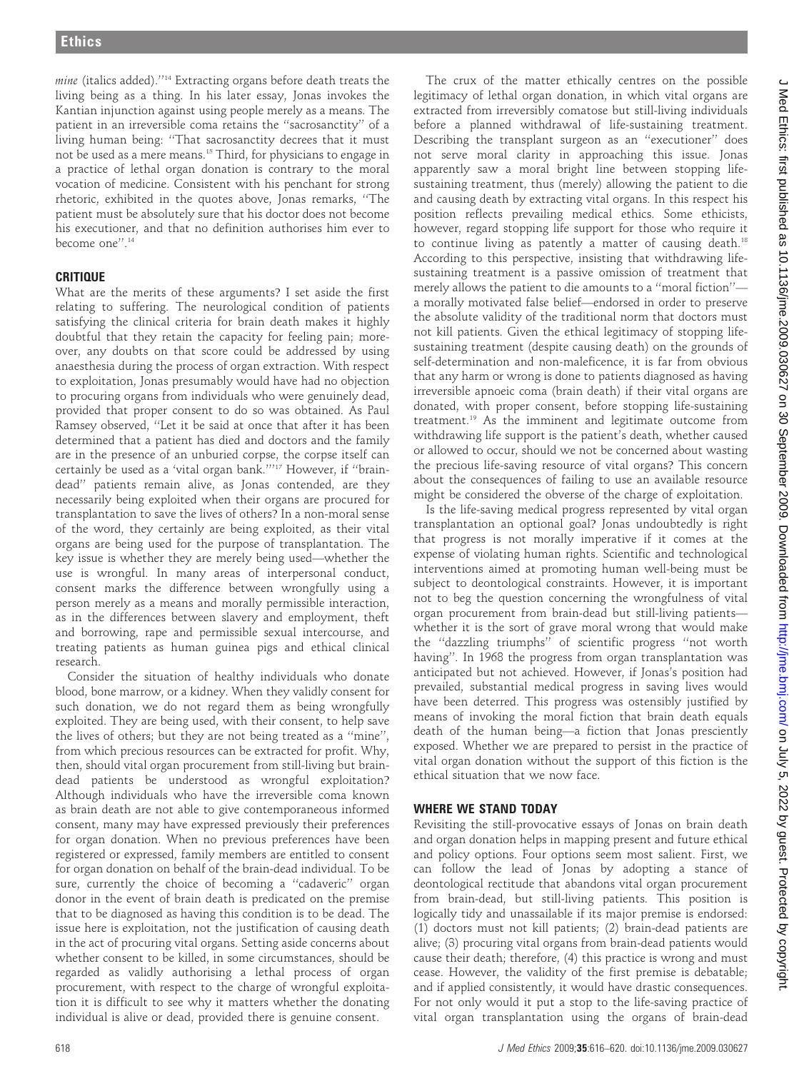mine (italics added).''14 Extracting organs before death treats the living being as a thing. In his later essay, Jonas invokes the Kantian injunction against using people merely as a means. The patient in an irreversible coma retains the ''sacrosanctity'' of a living human being: ''That sacrosanctity decrees that it must not be used as a mere means.15 Third, for physicians to engage in a practice of lethal organ donation is contrary to the moral vocation of medicine. Consistent with his penchant for strong rhetoric, exhibited in the quotes above, Jonas remarks, ''The patient must be absolutely sure that his doctor does not become his executioner, and that no definition authorises him ever to become one''.14

## **CRITIOUE**

What are the merits of these arguments? I set aside the first relating to suffering. The neurological condition of patients satisfying the clinical criteria for brain death makes it highly doubtful that they retain the capacity for feeling pain; moreover, any doubts on that score could be addressed by using anaesthesia during the process of organ extraction. With respect to exploitation, Jonas presumably would have had no objection to procuring organs from individuals who were genuinely dead, provided that proper consent to do so was obtained. As Paul Ramsey observed, ''Let it be said at once that after it has been determined that a patient has died and doctors and the family are in the presence of an unburied corpse, the corpse itself can certainly be used as a 'vital organ bank.'''17 However, if ''braindead'' patients remain alive, as Jonas contended, are they necessarily being exploited when their organs are procured for transplantation to save the lives of others? In a non-moral sense of the word, they certainly are being exploited, as their vital organs are being used for the purpose of transplantation. The key issue is whether they are merely being used—whether the use is wrongful. In many areas of interpersonal conduct, consent marks the difference between wrongfully using a person merely as a means and morally permissible interaction, as in the differences between slavery and employment, theft and borrowing, rape and permissible sexual intercourse, and treating patients as human guinea pigs and ethical clinical research.

Consider the situation of healthy individuals who donate blood, bone marrow, or a kidney. When they validly consent for such donation, we do not regard them as being wrongfully exploited. They are being used, with their consent, to help save the lives of others; but they are not being treated as a ''mine'', from which precious resources can be extracted for profit. Why, then, should vital organ procurement from still-living but braindead patients be understood as wrongful exploitation? Although individuals who have the irreversible coma known as brain death are not able to give contemporaneous informed consent, many may have expressed previously their preferences for organ donation. When no previous preferences have been registered or expressed, family members are entitled to consent for organ donation on behalf of the brain-dead individual. To be sure, currently the choice of becoming a ''cadaveric'' organ donor in the event of brain death is predicated on the premise that to be diagnosed as having this condition is to be dead. The issue here is exploitation, not the justification of causing death in the act of procuring vital organs. Setting aside concerns about whether consent to be killed, in some circumstances, should be regarded as validly authorising a lethal process of organ procurement, with respect to the charge of wrongful exploitation it is difficult to see why it matters whether the donating individual is alive or dead, provided there is genuine consent.

The crux of the matter ethically centres on the possible legitimacy of lethal organ donation, in which vital organs are extracted from irreversibly comatose but still-living individuals before a planned withdrawal of life-sustaining treatment. Describing the transplant surgeon as an ''executioner'' does not serve moral clarity in approaching this issue. Jonas apparently saw a moral bright line between stopping lifesustaining treatment, thus (merely) allowing the patient to die and causing death by extracting vital organs. In this respect his position reflects prevailing medical ethics. Some ethicists, however, regard stopping life support for those who require it to continue living as patently a matter of causing death.18 According to this perspective, insisting that withdrawing lifesustaining treatment is a passive omission of treatment that merely allows the patient to die amounts to a ''moral fiction'' a morally motivated false belief—endorsed in order to preserve the absolute validity of the traditional norm that doctors must not kill patients. Given the ethical legitimacy of stopping lifesustaining treatment (despite causing death) on the grounds of self-determination and non-maleficence, it is far from obvious that any harm or wrong is done to patients diagnosed as having irreversible apnoeic coma (brain death) if their vital organs are donated, with proper consent, before stopping life-sustaining treatment.19 As the imminent and legitimate outcome from withdrawing life support is the patient's death, whether caused or allowed to occur, should we not be concerned about wasting the precious life-saving resource of vital organs? This concern about the consequences of failing to use an available resource might be considered the obverse of the charge of exploitation. Is the life-saving medical progress represented by vital organ

transplantation an optional goal? Jonas undoubtedly is right that progress is not morally imperative if it comes at the expense of violating human rights. Scientific and technological interventions aimed at promoting human well-being must be subject to deontological constraints. However, it is important not to beg the question concerning the wrongfulness of vital organ procurement from brain-dead but still-living patients whether it is the sort of grave moral wrong that would make the ''dazzling triumphs'' of scientific progress ''not worth having''. In 1968 the progress from organ transplantation was anticipated but not achieved. However, if Jonas's position had prevailed, substantial medical progress in saving lives would have been deterred. This progress was ostensibly justified by means of invoking the moral fiction that brain death equals death of the human being—a fiction that Jonas presciently exposed. Whether we are prepared to persist in the practice of vital organ donation without the support of this fiction is the ethical situation that we now face.

## WHERE WE STAND TODAY

Revisiting the still-provocative essays of Jonas on brain death and organ donation helps in mapping present and future ethical and policy options. Four options seem most salient. First, we can follow the lead of Jonas by adopting a stance of deontological rectitude that abandons vital organ procurement from brain-dead, but still-living patients. This position is logically tidy and unassailable if its major premise is endorsed: (1) doctors must not kill patients; (2) brain-dead patients are alive; (3) procuring vital organs from brain-dead patients would cause their death; therefore, (4) this practice is wrong and must cease. However, the validity of the first premise is debatable; and if applied consistently, it would have drastic consequences. For not only would it put a stop to the life-saving practice of vital organ transplantation using the organs of brain-dead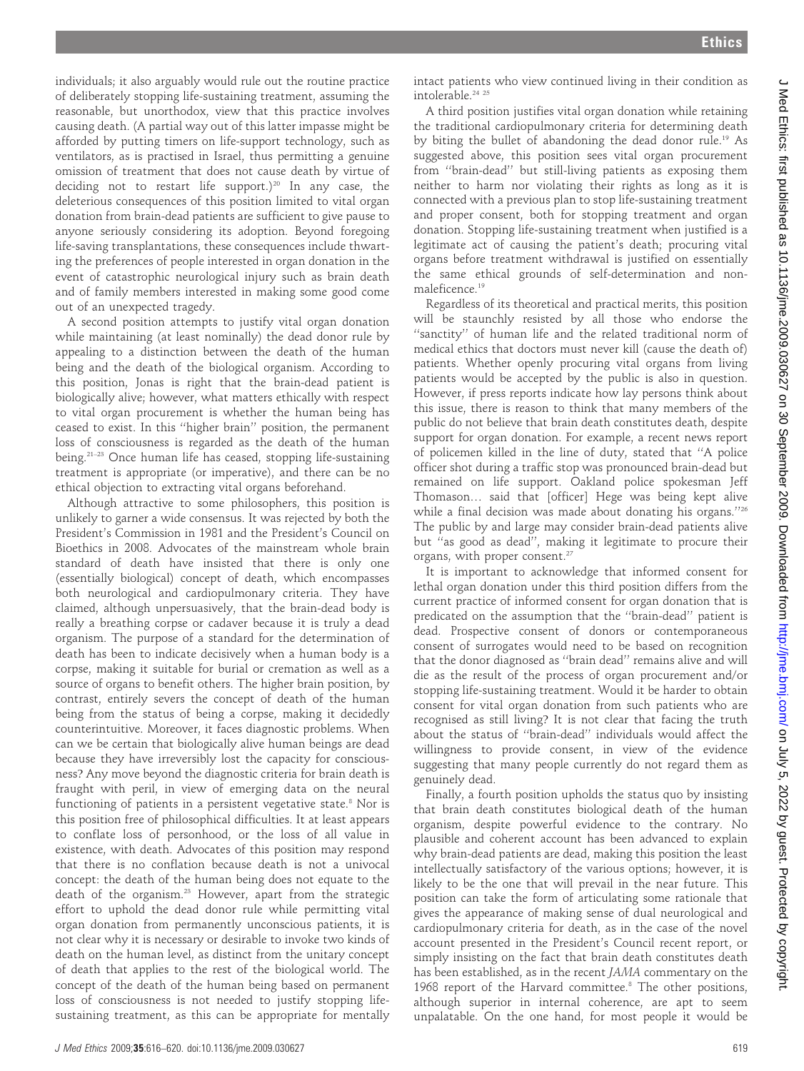individuals; it also arguably would rule out the routine practice of deliberately stopping life-sustaining treatment, assuming the reasonable, but unorthodox, view that this practice involves causing death. (A partial way out of this latter impasse might be afforded by putting timers on life-support technology, such as ventilators, as is practised in Israel, thus permitting a genuine omission of treatment that does not cause death by virtue of deciding not to restart life support.)<sup>20</sup> In any case, the deleterious consequences of this position limited to vital organ donation from brain-dead patients are sufficient to give pause to anyone seriously considering its adoption. Beyond foregoing life-saving transplantations, these consequences include thwarting the preferences of people interested in organ donation in the event of catastrophic neurological injury such as brain death and of family members interested in making some good come out of an unexpected tragedy.

A second position attempts to justify vital organ donation while maintaining (at least nominally) the dead donor rule by appealing to a distinction between the death of the human being and the death of the biological organism. According to this position, Jonas is right that the brain-dead patient is biologically alive; however, what matters ethically with respect to vital organ procurement is whether the human being has ceased to exist. In this ''higher brain'' position, the permanent loss of consciousness is regarded as the death of the human being.21–23 Once human life has ceased, stopping life-sustaining treatment is appropriate (or imperative), and there can be no ethical objection to extracting vital organs beforehand.

Although attractive to some philosophers, this position is unlikely to garner a wide consensus. It was rejected by both the President's Commission in 1981 and the President's Council on Bioethics in 2008. Advocates of the mainstream whole brain standard of death have insisted that there is only one (essentially biological) concept of death, which encompasses both neurological and cardiopulmonary criteria. They have claimed, although unpersuasively, that the brain-dead body is really a breathing corpse or cadaver because it is truly a dead organism. The purpose of a standard for the determination of death has been to indicate decisively when a human body is a corpse, making it suitable for burial or cremation as well as a source of organs to benefit others. The higher brain position, by contrast, entirely severs the concept of death of the human being from the status of being a corpse, making it decidedly counterintuitive. Moreover, it faces diagnostic problems. When can we be certain that biologically alive human beings are dead because they have irreversibly lost the capacity for consciousness? Any move beyond the diagnostic criteria for brain death is fraught with peril, in view of emerging data on the neural functioning of patients in a persistent vegetative state.<sup>8</sup> Nor is this position free of philosophical difficulties. It at least appears to conflate loss of personhood, or the loss of all value in existence, with death. Advocates of this position may respond that there is no conflation because death is not a univocal concept: the death of the human being does not equate to the death of the organism.<sup>23</sup> However, apart from the strategic effort to uphold the dead donor rule while permitting vital organ donation from permanently unconscious patients, it is not clear why it is necessary or desirable to invoke two kinds of death on the human level, as distinct from the unitary concept of death that applies to the rest of the biological world. The concept of the death of the human being based on permanent loss of consciousness is not needed to justify stopping lifesustaining treatment, as this can be appropriate for mentally

intact patients who view continued living in their condition as intolerable.24 25

A third position justifies vital organ donation while retaining the traditional cardiopulmonary criteria for determining death by biting the bullet of abandoning the dead donor rule.19 As suggested above, this position sees vital organ procurement from ''brain-dead'' but still-living patients as exposing them neither to harm nor violating their rights as long as it is connected with a previous plan to stop life-sustaining treatment and proper consent, both for stopping treatment and organ donation. Stopping life-sustaining treatment when justified is a legitimate act of causing the patient's death; procuring vital organs before treatment withdrawal is justified on essentially the same ethical grounds of self-determination and nonmaleficence.19

Regardless of its theoretical and practical merits, this position will be staunchly resisted by all those who endorse the "sanctity" of human life and the related traditional norm of medical ethics that doctors must never kill (cause the death of) patients. Whether openly procuring vital organs from living patients would be accepted by the public is also in question. However, if press reports indicate how lay persons think about this issue, there is reason to think that many members of the public do not believe that brain death constitutes death, despite support for organ donation. For example, a recent news report of policemen killed in the line of duty, stated that ''A police officer shot during a traffic stop was pronounced brain-dead but remained on life support. Oakland police spokesman Jeff Thomason… said that [officer] Hege was being kept alive while a final decision was made about donating his organs.''26 The public by and large may consider brain-dead patients alive but ''as good as dead'', making it legitimate to procure their organs, with proper consent.27

It is important to acknowledge that informed consent for lethal organ donation under this third position differs from the current practice of informed consent for organ donation that is predicated on the assumption that the ''brain-dead'' patient is dead. Prospective consent of donors or contemporaneous consent of surrogates would need to be based on recognition that the donor diagnosed as ''brain dead'' remains alive and will die as the result of the process of organ procurement and/or stopping life-sustaining treatment. Would it be harder to obtain consent for vital organ donation from such patients who are recognised as still living? It is not clear that facing the truth about the status of ''brain-dead'' individuals would affect the willingness to provide consent, in view of the evidence suggesting that many people currently do not regard them as genuinely dead.

Finally, a fourth position upholds the status quo by insisting that brain death constitutes biological death of the human organism, despite powerful evidence to the contrary. No plausible and coherent account has been advanced to explain why brain-dead patients are dead, making this position the least intellectually satisfactory of the various options; however, it is likely to be the one that will prevail in the near future. This position can take the form of articulating some rationale that gives the appearance of making sense of dual neurological and cardiopulmonary criteria for death, as in the case of the novel account presented in the President's Council recent report, or simply insisting on the fact that brain death constitutes death has been established, as in the recent JAMA commentary on the 1968 report of the Harvard committee. $8$  The other positions, although superior in internal coherence, are apt to seem unpalatable. On the one hand, for most people it would be